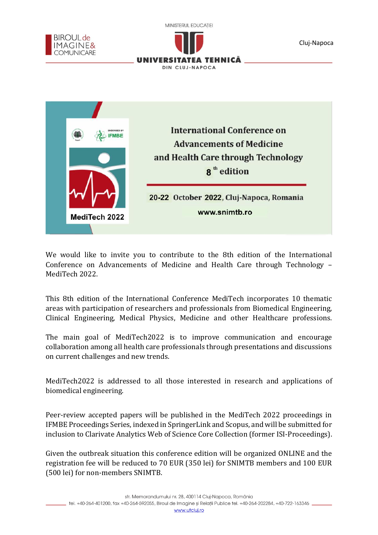

We would like to invite you to contribute to the 8th edition of the International Conference on Advancements of Medicine and Health Care through Technology – MediTech 2022.

This 8th edition of the International Conference MediTech incorporates 10 thematic areas with participation of researchers and professionals from Biomedical Engineering, Clinical Engineering, Medical Physics, Medicine and other Healthcare professions.

The main goal of MediTech2022 is to improve communication and encourage collaboration among all health care professionals through presentations and discussions on current challenges and new trends.

MediTech2022 is addressed to all those interested in research and applications of biomedical engineering.

Peer-review accepted papers will be published in the MediTech 2022 proceedings in IFMBE Proceedings Series, indexed in SpringerLink and Scopus, and will be submitted for inclusion to Clarivate Analytics Web of Science Core Collection (former ISI-Proceedings).

Given the outbreak situation this conference edition will be organized ONLINE and the registration fee will be reduced to 70 EUR (350 lei) for SNIMTB members and 100 EUR (500 lei) for non-members SNIMTB.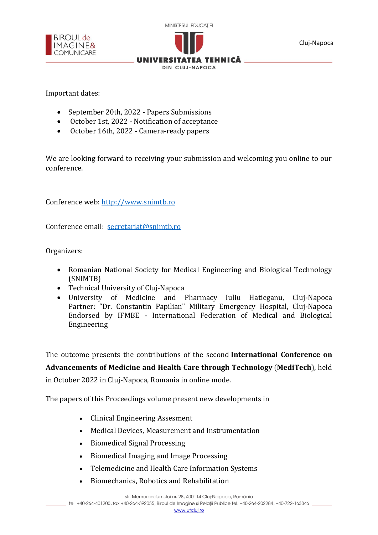



Cluj-Napoca

l

Important dates:

- September 20th, 2022 Papers Submissions
- October 1st, 2022 Notification of acceptance
- October 16th, 2022 Camera-ready papers

We are looking forward to receiving your submission and welcoming you online to our conference.

Conference web: [http://www.snimtb.ro](http://www.snimtb.ro/)

Conference email: [secretariat@snimtb.ro](mailto:secretariat@snimtb.ro)

Organizers:

- Romanian National Society for Medical Engineering and Biological Technology (SNIMTB)
- Technical University of Cluj-Napoca
- University of Medicine and Pharmacy Iuliu Hatieganu, Cluj-Napoca Partner: "Dr. Constantin Papilian" Military Emergency Hospital, Cluj-Napoca Endorsed by IFMBE - International Federation of Medical and Biological Engineering

The outcome presents the contributions of the second **International Conference on Advancements of Medicine and Health Care through Technology** (**MediTech**), held in October 2022 in Cluj-Napoca, Romania in online mode.

The papers of this Proceedings volume present new developments in

- Clinical Engineering Assesment
- Medical Devices, Measurement and Instrumentation
- Biomedical Signal Processing
- Biomedical Imaging and Image Processing
- Telemedicine and Health Care Information Systems
- Biomechanics, Robotics and Rehabilitation

str. Memorandumului nr. 28, 400114 Cluj-Napoca, România